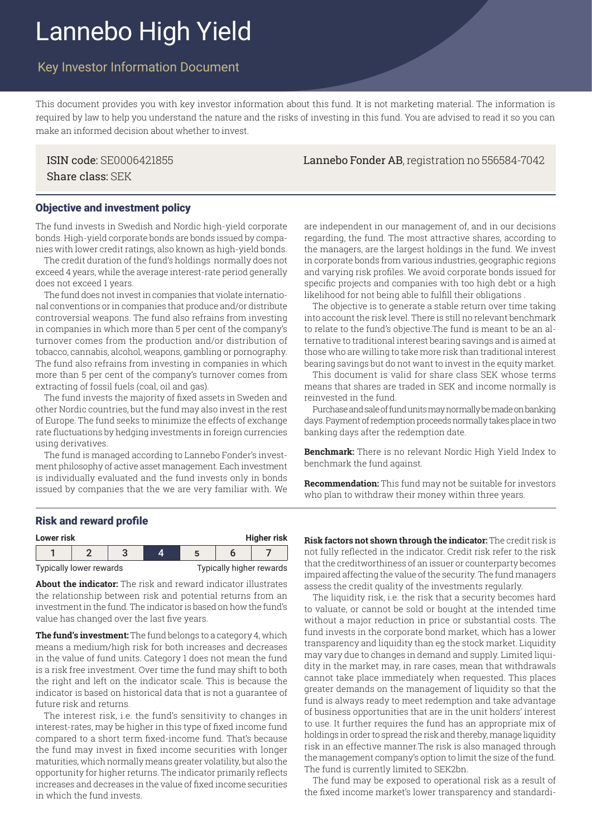# Lannebo High Yield

# Key Investor Information Document

This document provides you with key investor information about this fund. It is not marketing material. The information is required by law to help you understand the nature and the risks of investing in this fund. You are advised to read it so you can make an informed decision about whether to invest.

Share class: SEK

## ISIN code: SE0006421855 Lannebo Fonder AB, registration no 556584-7042

#### Objective and investment policy

The fund invests in Swedish and Nordic high-yield corporate bonds. High-yield corporate bonds are bonds issued by companies with lower credit ratings, also known as high-yield bonds.

The credit duration of the fund's holdings normally does not exceed 4 years, while the average interest-rate period generally does not exceed 1 years.

The fund does not invest in companies that violate international conventions or in companies that produce and/or distribute controversial weapons. The fund also refrains from investing in companies in which more than 5 per cent of the company's turnover comes from the production and/or distribution of tobacco, cannabis, alcohol, weapons, gambling or pornography. The fund also refrains from investing in companies in which more than 5 per cent of the company's turnover comes from extracting of fossil fuels (coal, oil and gas).

The fund invests the majority of fixed assets in Sweden and other Nordic countries, but the fund may also invest in the rest of Europe. The fund seeks to minimize the effects of exchange rate fluctuations by hedging investments in foreign currencies using derivatives.

The fund is managed according to Lannebo Fonder's investment philosophy of active asset management. Each investment is individually evaluated and the fund invests only in bonds issued by companies that the we are very familiar with. We are independent in our management of, and in our decisions regarding, the fund. The most attractive shares, according to the managers, are the largest holdings in the fund. We invest in corporate bonds from various industries, geographic regions and varying risk profiles. We avoid corporate bonds issued for specific projects and companies with too high debt or a high likelihood for not being able to fulfill their obligations .

The objective is to generate a stable return over time taking into account the risk level. There is still no relevant benchmark to relate to the fund's objective.The fund is meant to be an alternative to traditional interest bearing savings and is aimed at those who are willing to take more risk than traditional interest bearing savings but do not want to invest in the equity market.

This document is valid for share class SEK whose terms means that shares are traded in SEK and income normally is reinvested in the fund.

Purchase and sale of fund units may normally be made on banking days. Payment of redemption proceeds normally takes place in two banking days after the redemption date.

**Benchmark:** There is no relevant Nordic High Yield Index to benchmark the fund against.

**Recommendation:** This fund may not be suitable for investors who plan to withdraw their money within three years.

#### Risk and reward profile

| <b>Higher risk</b><br>Lower risk |                         |  |  |  |                          |  |  |  |
|----------------------------------|-------------------------|--|--|--|--------------------------|--|--|--|
|                                  |                         |  |  |  |                          |  |  |  |
|                                  | Typically lower rewards |  |  |  | Typically higher rewards |  |  |  |

**About the indicator:** The risk and reward indicator illustrates the relationship between risk and potential returns from an investment in the fund. The indicator is based on how the fund's value has changed over the last five years.

**The fund's investment:** The fund belongs to a category 4, which means a medium/high risk for both increases and decreases in the value of fund units. Category 1 does not mean the fund is a risk free investment. Over time the fund may shift to both the right and left on the indicator scale. This is because the indicator is based on historical data that is not a guarantee of future risk and returns.

The interest risk, i.e. the fund's sensitivity to changes in interest-rates, may be higher in this type of fixed income fund compared to a short term fixed-income fund. That's because the fund may invest in fixed income securities with longer maturities, which normally means greater volatility, but also the opportunity for higher returns. The indicator primarily reflects increases and decreases in the value of fixed income securities in which the fund invests.

**Risk factors not shown through the indicator:** The credit risk is not fully reflected in the indicator. Credit risk refer to the risk that the creditworthiness of an issuer or counterparty becomes impaired affecting the value of the security. The fund managers assess the credit quality of the investments regularly.

The liquidity risk, i.e. the risk that a security becomes hard to valuate, or cannot be sold or bought at the intended time without a major reduction in price or substantial costs. The fund invests in the corporate bond market, which has a lower transparency and liquidity than eg the stock market. Liquidity may vary due to changes in demand and supply. Limited liquidity in the market may, in rare cases, mean that withdrawals cannot take place immediately when requested. This places greater demands on the management of liquidity so that the fund is always ready to meet redemption and take advantage of business opportunities that are in the unit holders' interest to use. It further requires the fund has an appropriate mix of holdings in order to spread the risk and thereby, manage liquidity risk in an effective manner.The risk is also managed through the management company's option to limit the size of the fund. The fund is currently limited to SEK2bn.

The fund may be exposed to operational risk as a result of the fixed income market's lower transparency and standardi